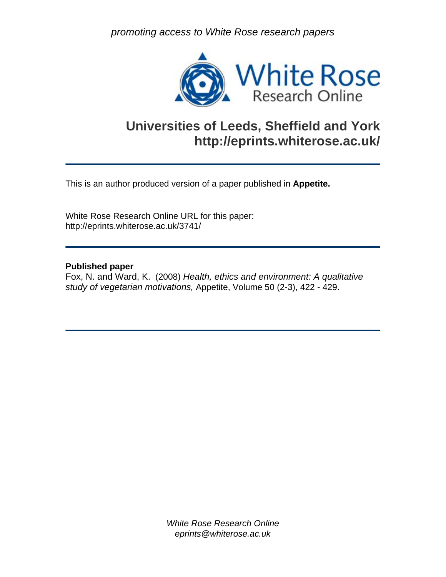*promoting access to White Rose research papers* 



## **Universities of Leeds, Sheffield and York http://eprints.whiterose.ac.uk/**

This is an author produced version of a paper published in **Appetite.** 

White Rose Research Online URL for this paper: http://eprints.whiterose.ac.uk/3741/

#### **Published paper**

Fox, N. and Ward, K. (2008) *Health, ethics and environment: A qualitative study of vegetarian motivations,* Appetite, Volume 50 (2-3), 422 - 429.

> *White Rose Research Online eprints@whiterose.ac.uk*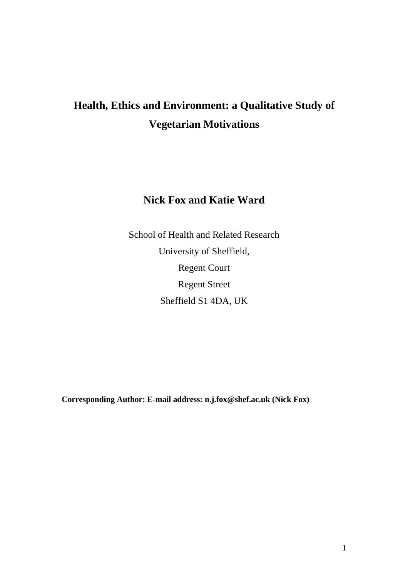# **Health, Ethics and Environment: a Qualitative Study of Vegetarian Motivations**

### **Nick Fox and Katie Ward**

School of Health and Related Research University of Sheffield, Regent Court Regent Street Sheffield S1 4DA, UK

**Corresponding Author: E-mail address: n.j.fox@shef.ac.uk (Nick Fox)**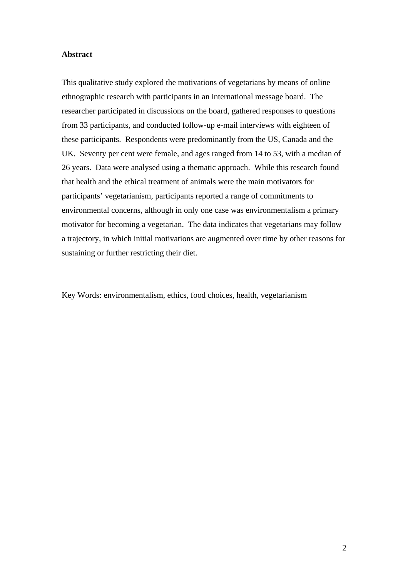#### **Abstract**

This qualitative study explored the motivations of vegetarians by means of online ethnographic research with participants in an international message board. The researcher participated in discussions on the board, gathered responses to questions from 33 participants, and conducted follow-up e-mail interviews with eighteen of these participants. Respondents were predominantly from the US, Canada and the UK. Seventy per cent were female, and ages ranged from 14 to 53, with a median of 26 years. Data were analysed using a thematic approach. While this research found that health and the ethical treatment of animals were the main motivators for participants' vegetarianism, participants reported a range of commitments to environmental concerns, although in only one case was environmentalism a primary motivator for becoming a vegetarian. The data indicates that vegetarians may follow a trajectory, in which initial motivations are augmented over time by other reasons for sustaining or further restricting their diet.

Key Words: environmentalism, ethics, food choices, health, vegetarianism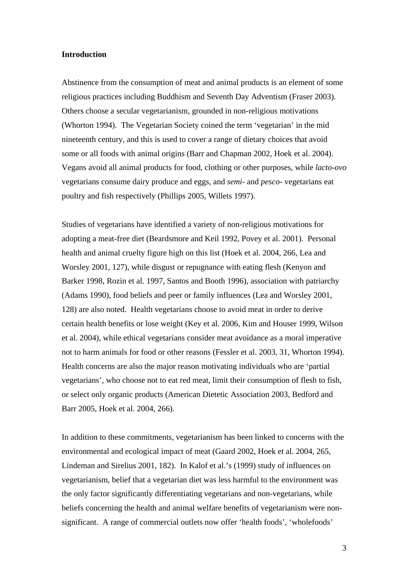#### **Introduction**

Abstinence from the consumption of meat and animal products is an element of some religious practices including Buddhism and Seventh Day Adventism (Fraser 2003). Others choose a secular vegetarianism, grounded in non-religious motivations (Whorton 1994). The Vegetarian Society coined the term 'vegetarian' in the mid nineteenth century, and this is used to cover a range of dietary choices that avoid some or all foods with animal origins (Barr and Chapman 2002, Hoek et al. 2004). Vegans avoid all animal products for food, clothing or other purposes, while *lacto-ovo* vegetarians consume dairy produce and eggs, and *semi*- and *pesco-* vegetarians eat poultry and fish respectively (Phillips 2005, Willets 1997).

Studies of vegetarians have identified a variety of non-religious motivations for adopting a meat-free diet (Beardsmore and Keil 1992, Povey et al. 2001). Personal health and animal cruelty figure high on this list (Hoek et al. 2004, 266, Lea and Worsley 2001, 127), while disgust or repugnance with eating flesh (Kenyon and Barker 1998, Rozin et al. 1997, Santos and Booth 1996), association with patriarchy (Adams 1990), food beliefs and peer or family influences (Lea and Worsley 2001, 128) are also noted. Health vegetarians choose to avoid meat in order to derive certain health benefits or lose weight (Key et al. 2006, Kim and Houser 1999, Wilson et al. 2004), while ethical vegetarians consider meat avoidance as a moral imperative not to harm animals for food or other reasons (Fessler et al. 2003, 31, Whorton 1994). Health concerns are also the major reason motivating individuals who are 'partial vegetarians', who choose not to eat red meat, limit their consumption of flesh to fish, or select only organic products (American Dietetic Association 2003, Bedford and Barr 2005, Hoek et al. 2004, 266).

In addition to these commitments, vegetarianism has been linked to concerns with the environmental and ecological impact of meat (Gaard 2002, Hoek et al. 2004, 265, Lindeman and Sirelius 2001, 182). In Kalof et al.'s (1999) study of influences on vegetarianism, belief that a vegetarian diet was less harmful to the environment was the only factor significantly differentiating vegetarians and non-vegetarians, while beliefs concerning the health and animal welfare benefits of vegetarianism were nonsignificant. A range of commercial outlets now offer 'health foods', 'wholefoods'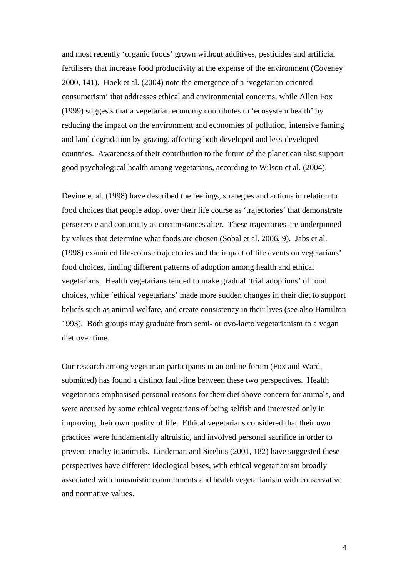and most recently 'organic foods' grown without additives, pesticides and artificial fertilisers that increase food productivity at the expense of the environment (Coveney 2000, 141). Hoek et al. (2004) note the emergence of a 'vegetarian-oriented consumerism' that addresses ethical and environmental concerns, while Allen Fox (1999) suggests that a vegetarian economy contributes to 'ecosystem health' by reducing the impact on the environment and economies of pollution, intensive faming and land degradation by grazing, affecting both developed and less-developed countries. Awareness of their contribution to the future of the planet can also support good psychological health among vegetarians, according to Wilson et al. (2004).

Devine et al. (1998) have described the feelings, strategies and actions in relation to food choices that people adopt over their life course as 'trajectories' that demonstrate persistence and continuity as circumstances alter. These trajectories are underpinned by values that determine what foods are chosen (Sobal et al. 2006, 9). Jabs et al. (1998) examined life-course trajectories and the impact of life events on vegetarians' food choices, finding different patterns of adoption among health and ethical vegetarians. Health vegetarians tended to make gradual 'trial adoptions' of food choices, while 'ethical vegetarians' made more sudden changes in their diet to support beliefs such as animal welfare, and create consistency in their lives (see also Hamilton 1993). Both groups may graduate from semi- or ovo-lacto vegetarianism to a vegan diet over time.

Our research among vegetarian participants in an online forum (Fox and Ward, submitted) has found a distinct fault-line between these two perspectives. Health vegetarians emphasised personal reasons for their diet above concern for animals, and were accused by some ethical vegetarians of being selfish and interested only in improving their own quality of life. Ethical vegetarians considered that their own practices were fundamentally altruistic, and involved personal sacrifice in order to prevent cruelty to animals. Lindeman and Sirelius (2001, 182) have suggested these perspectives have different ideological bases, with ethical vegetarianism broadly associated with humanistic commitments and health vegetarianism with conservative and normative values.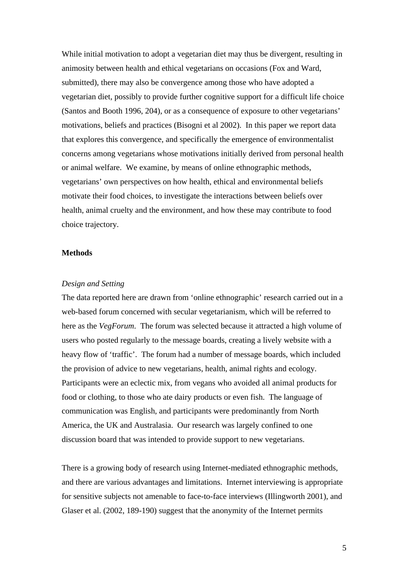While initial motivation to adopt a vegetarian diet may thus be divergent, resulting in animosity between health and ethical vegetarians on occasions (Fox and Ward, submitted), there may also be convergence among those who have adopted a vegetarian diet, possibly to provide further cognitive support for a difficult life choice (Santos and Booth 1996, 204), or as a consequence of exposure to other vegetarians' motivations, beliefs and practices (Bisogni et al 2002). In this paper we report data that explores this convergence, and specifically the emergence of environmentalist concerns among vegetarians whose motivations initially derived from personal health or animal welfare. We examine, by means of online ethnographic methods, vegetarians' own perspectives on how health, ethical and environmental beliefs motivate their food choices, to investigate the interactions between beliefs over health, animal cruelty and the environment, and how these may contribute to food choice trajectory.

#### **Methods**

#### *Design and Setting*

The data reported here are drawn from 'online ethnographic' research carried out in a web-based forum concerned with secular vegetarianism, which will be referred to here as the *VegForum*. The forum was selected because it attracted a high volume of users who posted regularly to the message boards, creating a lively website with a heavy flow of 'traffic'. The forum had a number of message boards, which included the provision of advice to new vegetarians, health, animal rights and ecology. Participants were an eclectic mix, from vegans who avoided all animal products for food or clothing, to those who ate dairy products or even fish. The language of communication was English, and participants were predominantly from North America, the UK and Australasia. Our research was largely confined to one discussion board that was intended to provide support to new vegetarians.

There is a growing body of research using Internet-mediated ethnographic methods, and there are various advantages and limitations. Internet interviewing is appropriate for sensitive subjects not amenable to face-to-face interviews (Illingworth 2001), and Glaser et al. (2002, 189-190) suggest that the anonymity of the Internet permits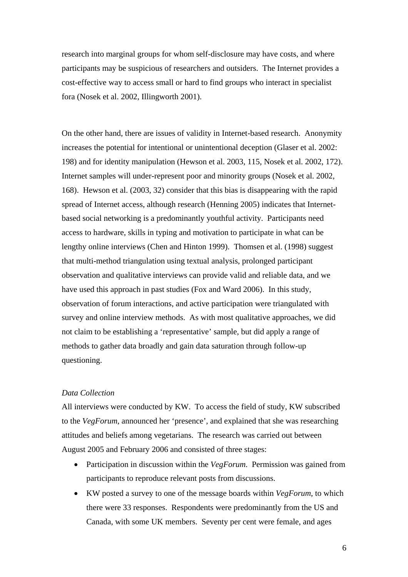research into marginal groups for whom self-disclosure may have costs, and where participants may be suspicious of researchers and outsiders. The Internet provides a cost-effective way to access small or hard to find groups who interact in specialist fora (Nosek et al. 2002, Illingworth 2001).

On the other hand, there are issues of validity in Internet-based research. Anonymity increases the potential for intentional or unintentional deception (Glaser et al. 2002: 198) and for identity manipulation (Hewson et al. 2003, 115, Nosek et al. 2002, 172). Internet samples will under-represent poor and minority groups (Nosek et al. 2002, 168). Hewson et al. (2003, 32) consider that this bias is disappearing with the rapid spread of Internet access, although research (Henning 2005) indicates that Internetbased social networking is a predominantly youthful activity. Participants need access to hardware, skills in typing and motivation to participate in what can be lengthy online interviews (Chen and Hinton 1999). Thomsen et al. (1998) suggest that multi-method triangulation using textual analysis, prolonged participant observation and qualitative interviews can provide valid and reliable data, and we have used this approach in past studies (Fox and Ward 2006). In this study, observation of forum interactions, and active participation were triangulated with survey and online interview methods. As with most qualitative approaches, we did not claim to be establishing a 'representative' sample, but did apply a range of methods to gather data broadly and gain data saturation through follow-up questioning.

#### *Data Collection*

All interviews were conducted by KW. To access the field of study, KW subscribed to the *VegForum*, announced her 'presence', and explained that she was researching attitudes and beliefs among vegetarians. The research was carried out between August 2005 and February 2006 and consisted of three stages:

- Participation in discussion within the *VegForum*. Permission was gained from participants to reproduce relevant posts from discussions.
- KW posted a survey to one of the message boards within *VegForum*, to which there were 33 responses. Respondents were predominantly from the US and Canada, with some UK members. Seventy per cent were female, and ages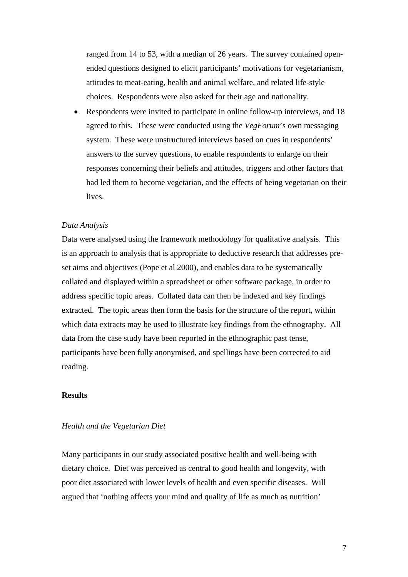ranged from 14 to 53, with a median of 26 years. The survey contained openended questions designed to elicit participants' motivations for vegetarianism, attitudes to meat-eating, health and animal welfare, and related life-style choices. Respondents were also asked for their age and nationality.

• Respondents were invited to participate in online follow-up interviews, and 18 agreed to this. These were conducted using the *VegForum*'s own messaging system. These were unstructured interviews based on cues in respondents' answers to the survey questions, to enable respondents to enlarge on their responses concerning their beliefs and attitudes, triggers and other factors that had led them to become vegetarian, and the effects of being vegetarian on their lives.

#### *Data Analysis*

Data were analysed using the framework methodology for qualitative analysis. This is an approach to analysis that is appropriate to deductive research that addresses preset aims and objectives (Pope et al 2000), and enables data to be systematically collated and displayed within a spreadsheet or other software package, in order to address specific topic areas. Collated data can then be indexed and key findings extracted. The topic areas then form the basis for the structure of the report, within which data extracts may be used to illustrate key findings from the ethnography. All data from the case study have been reported in the ethnographic past tense, participants have been fully anonymised, and spellings have been corrected to aid reading.

#### **Results**

#### *Health and the Vegetarian Diet*

Many participants in our study associated positive health and well-being with dietary choice. Diet was perceived as central to good health and longevity, with poor diet associated with lower levels of health and even specific diseases. Will argued that 'nothing affects your mind and quality of life as much as nutrition'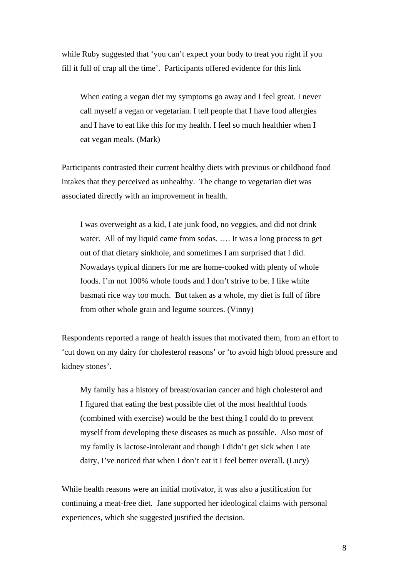while Ruby suggested that 'you can't expect your body to treat you right if you fill it full of crap all the time'. Participants offered evidence for this link

When eating a vegan diet my symptoms go away and I feel great. I never call myself a vegan or vegetarian. I tell people that I have food allergies and I have to eat like this for my health. I feel so much healthier when I eat vegan meals. (Mark)

Participants contrasted their current healthy diets with previous or childhood food intakes that they perceived as unhealthy. The change to vegetarian diet was associated directly with an improvement in health.

I was overweight as a kid, I ate junk food, no veggies, and did not drink water. All of my liquid came from sodas. …. It was a long process to get out of that dietary sinkhole, and sometimes I am surprised that I did. Nowadays typical dinners for me are home-cooked with plenty of whole foods. I'm not 100% whole foods and I don't strive to be. I like white basmati rice way too much. But taken as a whole, my diet is full of fibre from other whole grain and legume sources. (Vinny)

Respondents reported a range of health issues that motivated them, from an effort to 'cut down on my dairy for cholesterol reasons' or 'to avoid high blood pressure and kidney stones'.

My family has a history of breast/ovarian cancer and high cholesterol and I figured that eating the best possible diet of the most healthful foods (combined with exercise) would be the best thing I could do to prevent myself from developing these diseases as much as possible. Also most of my family is lactose-intolerant and though I didn't get sick when I ate dairy, I've noticed that when I don't eat it I feel better overall. (Lucy)

While health reasons were an initial motivator, it was also a justification for continuing a meat-free diet. Jane supported her ideological claims with personal experiences, which she suggested justified the decision.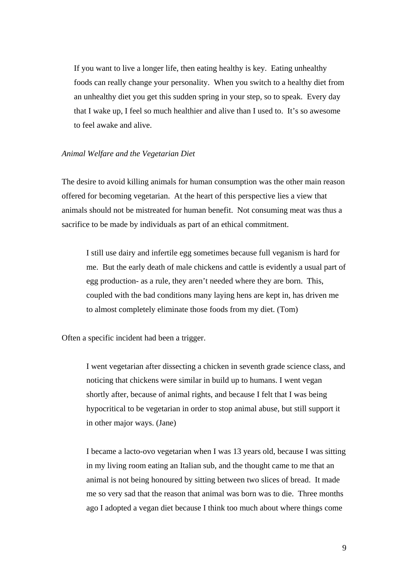If you want to live a longer life, then eating healthy is key. Eating unhealthy foods can really change your personality. When you switch to a healthy diet from an unhealthy diet you get this sudden spring in your step, so to speak. Every day that I wake up, I feel so much healthier and alive than I used to. It's so awesome to feel awake and alive.

#### *Animal Welfare and the Vegetarian Diet*

The desire to avoid killing animals for human consumption was the other main reason offered for becoming vegetarian. At the heart of this perspective lies a view that animals should not be mistreated for human benefit. Not consuming meat was thus a sacrifice to be made by individuals as part of an ethical commitment.

I still use dairy and infertile egg sometimes because full veganism is hard for me. But the early death of male chickens and cattle is evidently a usual part of egg production- as a rule, they aren't needed where they are born. This, coupled with the bad conditions many laying hens are kept in, has driven me to almost completely eliminate those foods from my diet. (Tom)

Often a specific incident had been a trigger.

I went vegetarian after dissecting a chicken in seventh grade science class, and noticing that chickens were similar in build up to humans. I went vegan shortly after, because of animal rights, and because I felt that I was being hypocritical to be vegetarian in order to stop animal abuse, but still support it in other major ways. (Jane)

I became a lacto-ovo vegetarian when I was 13 years old, because I was sitting in my living room eating an Italian sub, and the thought came to me that an animal is not being honoured by sitting between two slices of bread. It made me so very sad that the reason that animal was born was to die. Three months ago I adopted a vegan diet because I think too much about where things come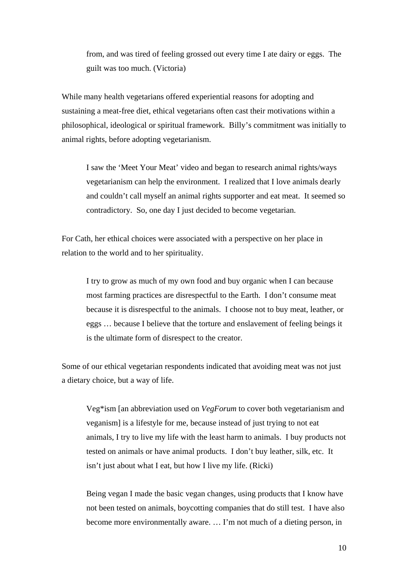from, and was tired of feeling grossed out every time I ate dairy or eggs. The guilt was too much. (Victoria)

While many health vegetarians offered experiential reasons for adopting and sustaining a meat-free diet, ethical vegetarians often cast their motivations within a philosophical, ideological or spiritual framework. Billy's commitment was initially to animal rights, before adopting vegetarianism.

I saw the 'Meet Your Meat' video and began to research animal rights/ways vegetarianism can help the environment. I realized that I love animals dearly and couldn't call myself an animal rights supporter and eat meat. It seemed so contradictory. So, one day I just decided to become vegetarian.

For Cath, her ethical choices were associated with a perspective on her place in relation to the world and to her spirituality.

I try to grow as much of my own food and buy organic when I can because most farming practices are disrespectful to the Earth. I don't consume meat because it is disrespectful to the animals. I choose not to buy meat, leather, or eggs … because I believe that the torture and enslavement of feeling beings it is the ultimate form of disrespect to the creator.

Some of our ethical vegetarian respondents indicated that avoiding meat was not just a dietary choice, but a way of life.

Veg\*ism [an abbreviation used on *VegForum* to cover both vegetarianism and veganism] is a lifestyle for me, because instead of just trying to not eat animals, I try to live my life with the least harm to animals. I buy products not tested on animals or have animal products. I don't buy leather, silk, etc. It isn't just about what I eat, but how I live my life. (Ricki)

Being vegan I made the basic vegan changes, using products that I know have not been tested on animals, boycotting companies that do still test. I have also become more environmentally aware. … I'm not much of a dieting person, in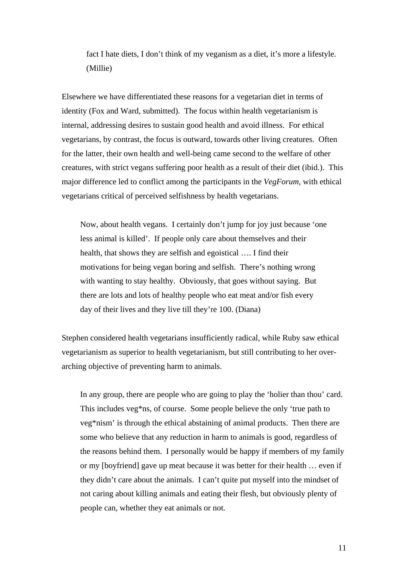fact I hate diets, I don't think of my veganism as a diet, it's more a lifestyle. (Millie)

Elsewhere we have differentiated these reasons for a vegetarian diet in terms of identity (Fox and Ward, submitted). The focus within health vegetarianism is internal, addressing desires to sustain good health and avoid illness. For ethical vegetarians, by contrast, the focus is outward, towards other living creatures. Often for the latter, their own health and well-being came second to the welfare of other creatures, with strict vegans suffering poor health as a result of their diet (ibid.). This major difference led to conflict among the participants in the *VegForum*, with ethical vegetarians critical of perceived selfishness by health vegetarians.

Now, about health vegans. I certainly don't jump for joy just because 'one less animal is killed'. If people only care about themselves and their health, that shows they are selfish and egoistical …. I find their motivations for being vegan boring and selfish. There's nothing wrong with wanting to stay healthy. Obviously, that goes without saying. But there are lots and lots of healthy people who eat meat and/or fish every day of their lives and they live till they're 100. (Diana)

Stephen considered health vegetarians insufficiently radical, while Ruby saw ethical vegetarianism as superior to health vegetarianism, but still contributing to her overarching objective of preventing harm to animals.

In any group, there are people who are going to play the 'holier than thou' card. This includes veg\*ns, of course. Some people believe the only 'true path to veg\*nism' is through the ethical abstaining of animal products. Then there are some who believe that any reduction in harm to animals is good, regardless of the reasons behind them. I personally would be happy if members of my family or my [boyfriend] gave up meat because it was better for their health … even if they didn't care about the animals. I can't quite put myself into the mindset of not caring about killing animals and eating their flesh, but obviously plenty of people can, whether they eat animals or not.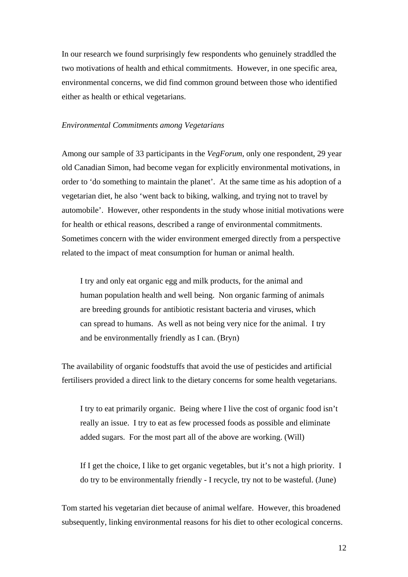In our research we found surprisingly few respondents who genuinely straddled the two motivations of health and ethical commitments. However, in one specific area, environmental concerns, we did find common ground between those who identified either as health or ethical vegetarians.

#### *Environmental Commitments among Vegetarians*

Among our sample of 33 participants in the *VegForum*, only one respondent, 29 year old Canadian Simon, had become vegan for explicitly environmental motivations, in order to 'do something to maintain the planet'. At the same time as his adoption of a vegetarian diet, he also 'went back to biking, walking, and trying not to travel by automobile'. However, other respondents in the study whose initial motivations were for health or ethical reasons, described a range of environmental commitments. Sometimes concern with the wider environment emerged directly from a perspective related to the impact of meat consumption for human or animal health.

I try and only eat organic egg and milk products, for the animal and human population health and well being. Non organic farming of animals are breeding grounds for antibiotic resistant bacteria and viruses, which can spread to humans. As well as not being very nice for the animal. I try and be environmentally friendly as I can. (Bryn)

The availability of organic foodstuffs that avoid the use of pesticides and artificial fertilisers provided a direct link to the dietary concerns for some health vegetarians.

I try to eat primarily organic. Being where I live the cost of organic food isn't really an issue. I try to eat as few processed foods as possible and eliminate added sugars. For the most part all of the above are working. (Will)

If I get the choice, I like to get organic vegetables, but it's not a high priority. I do try to be environmentally friendly - I recycle, try not to be wasteful. (June)

Tom started his vegetarian diet because of animal welfare. However, this broadened subsequently, linking environmental reasons for his diet to other ecological concerns.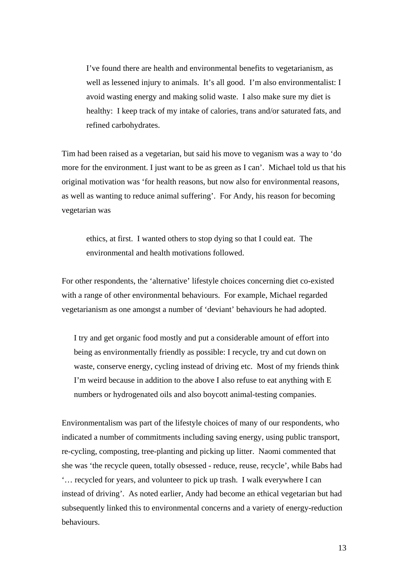I've found there are health and environmental benefits to vegetarianism, as well as lessened injury to animals. It's all good. I'm also environmentalist: I avoid wasting energy and making solid waste. I also make sure my diet is healthy: I keep track of my intake of calories, trans and/or saturated fats, and refined carbohydrates.

Tim had been raised as a vegetarian, but said his move to veganism was a way to 'do more for the environment. I just want to be as green as I can'. Michael told us that his original motivation was 'for health reasons, but now also for environmental reasons, as well as wanting to reduce animal suffering'. For Andy, his reason for becoming vegetarian was

ethics, at first. I wanted others to stop dying so that I could eat. The environmental and health motivations followed.

For other respondents, the 'alternative' lifestyle choices concerning diet co-existed with a range of other environmental behaviours. For example, Michael regarded vegetarianism as one amongst a number of 'deviant' behaviours he had adopted.

I try and get organic food mostly and put a considerable amount of effort into being as environmentally friendly as possible: I recycle, try and cut down on waste, conserve energy, cycling instead of driving etc. Most of my friends think I'm weird because in addition to the above I also refuse to eat anything with E numbers or hydrogenated oils and also boycott animal-testing companies.

Environmentalism was part of the lifestyle choices of many of our respondents, who indicated a number of commitments including saving energy, using public transport, re-cycling, composting, tree-planting and picking up litter. Naomi commented that she was 'the recycle queen, totally obsessed - reduce, reuse, recycle', while Babs had '… recycled for years, and volunteer to pick up trash. I walk everywhere I can instead of driving'. As noted earlier, Andy had become an ethical vegetarian but had subsequently linked this to environmental concerns and a variety of energy-reduction behaviours.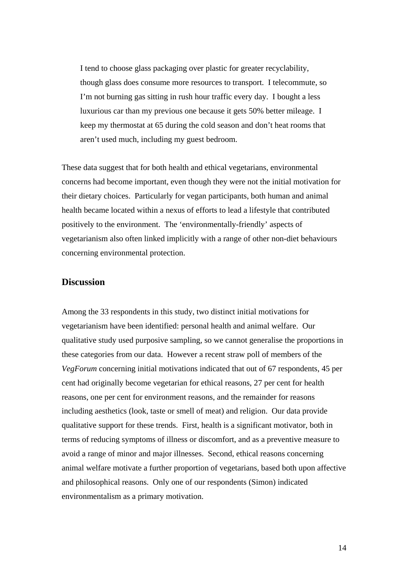I tend to choose glass packaging over plastic for greater recyclability, though glass does consume more resources to transport. I telecommute, so I'm not burning gas sitting in rush hour traffic every day. I bought a less luxurious car than my previous one because it gets 50% better mileage. I keep my thermostat at 65 during the cold season and don't heat rooms that aren't used much, including my guest bedroom.

These data suggest that for both health and ethical vegetarians, environmental concerns had become important, even though they were not the initial motivation for their dietary choices. Particularly for vegan participants, both human and animal health became located within a nexus of efforts to lead a lifestyle that contributed positively to the environment. The 'environmentally-friendly' aspects of vegetarianism also often linked implicitly with a range of other non-diet behaviours concerning environmental protection.

#### **Discussion**

Among the 33 respondents in this study, two distinct initial motivations for vegetarianism have been identified: personal health and animal welfare. Our qualitative study used purposive sampling, so we cannot generalise the proportions in these categories from our data. However a recent straw poll of members of the *VegForum* concerning initial motivations indicated that out of 67 respondents, 45 per cent had originally become vegetarian for ethical reasons, 27 per cent for health reasons, one per cent for environment reasons, and the remainder for reasons including aesthetics (look, taste or smell of meat) and religion. Our data provide qualitative support for these trends. First, health is a significant motivator, both in terms of reducing symptoms of illness or discomfort, and as a preventive measure to avoid a range of minor and major illnesses. Second, ethical reasons concerning animal welfare motivate a further proportion of vegetarians, based both upon affective and philosophical reasons. Only one of our respondents (Simon) indicated environmentalism as a primary motivation.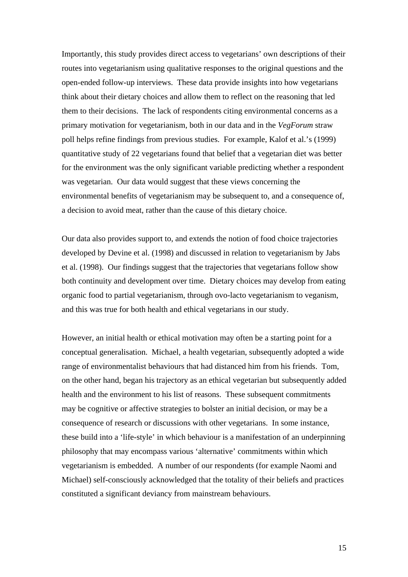Importantly, this study provides direct access to vegetarians' own descriptions of their routes into vegetarianism using qualitative responses to the original questions and the open-ended follow-up interviews. These data provide insights into how vegetarians think about their dietary choices and allow them to reflect on the reasoning that led them to their decisions. The lack of respondents citing environmental concerns as a primary motivation for vegetarianism, both in our data and in the *VegForum* straw poll helps refine findings from previous studies. For example, Kalof et al.'s (1999) quantitative study of 22 vegetarians found that belief that a vegetarian diet was better for the environment was the only significant variable predicting whether a respondent was vegetarian. Our data would suggest that these views concerning the environmental benefits of vegetarianism may be subsequent to, and a consequence of, a decision to avoid meat, rather than the cause of this dietary choice.

Our data also provides support to, and extends the notion of food choice trajectories developed by Devine et al. (1998) and discussed in relation to vegetarianism by Jabs et al. (1998). Our findings suggest that the trajectories that vegetarians follow show both continuity and development over time. Dietary choices may develop from eating organic food to partial vegetarianism, through ovo-lacto vegetarianism to veganism, and this was true for both health and ethical vegetarians in our study.

However, an initial health or ethical motivation may often be a starting point for a conceptual generalisation. Michael, a health vegetarian, subsequently adopted a wide range of environmentalist behaviours that had distanced him from his friends. Tom, on the other hand, began his trajectory as an ethical vegetarian but subsequently added health and the environment to his list of reasons. These subsequent commitments may be cognitive or affective strategies to bolster an initial decision, or may be a consequence of research or discussions with other vegetarians. In some instance, these build into a 'life-style' in which behaviour is a manifestation of an underpinning philosophy that may encompass various 'alternative' commitments within which vegetarianism is embedded. A number of our respondents (for example Naomi and Michael) self-consciously acknowledged that the totality of their beliefs and practices constituted a significant deviancy from mainstream behaviours.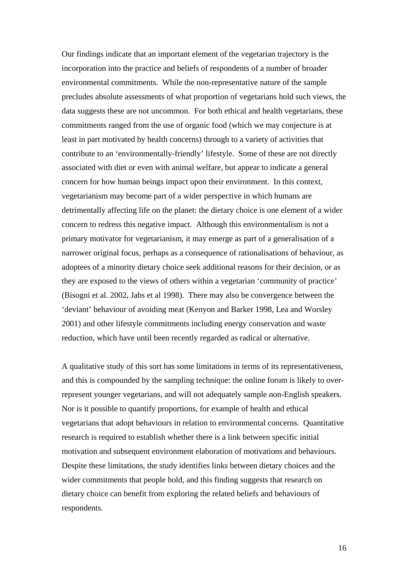Our findings indicate that an important element of the vegetarian trajectory is the incorporation into the practice and beliefs of respondents of a number of broader environmental commitments. While the non-representative nature of the sample precludes absolute assessments of what proportion of vegetarians hold such views, the data suggests these are not uncommon. For both ethical and health vegetarians, these commitments ranged from the use of organic food (which we may conjecture is at least in part motivated by health concerns) through to a variety of activities that contribute to an 'environmentally-friendly' lifestyle. Some of these are not directly associated with diet or even with animal welfare, but appear to indicate a general concern for how human beings impact upon their environment. In this context, vegetarianism may become part of a wider perspective in which humans are detrimentally affecting life on the planet: the dietary choice is one element of a wider concern to redress this negative impact. Although this environmentalism is not a primary motivator for vegetarianism, it may emerge as part of a generalisation of a narrower original focus, perhaps as a consequence of rationalisations of behaviour, as adoptees of a minority dietary choice seek additional reasons for their decision, or as they are exposed to the views of others within a vegetarian 'community of practice' (Bisogni et al. 2002, Jabs et al 1998). There may also be convergence between the 'deviant' behaviour of avoiding meat (Kenyon and Barker 1998, Lea and Worsley 2001) and other lifestyle commitments including energy conservation and waste reduction, which have until been recently regarded as radical or alternative.

A qualitative study of this sort has some limitations in terms of its representativeness, and this is compounded by the sampling technique: the online forum is likely to overrepresent younger vegetarians, and will not adequately sample non-English speakers. Nor is it possible to quantify proportions, for example of health and ethical vegetarians that adopt behaviours in relation to environmental concerns. Quantitative research is required to establish whether there is a link between specific initial motivation and subsequent environment elaboration of motivations and behaviours. Despite these limitations, the study identifies links between dietary choices and the wider commitments that people hold, and this finding suggests that research on dietary choice can benefit from exploring the related beliefs and behaviours of respondents.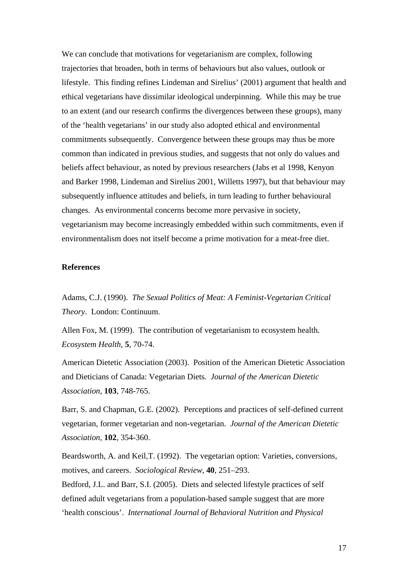We can conclude that motivations for vegetarianism are complex, following trajectories that broaden, both in terms of behaviours but also values, outlook or lifestyle. This finding refines Lindeman and Sirelius' (2001) argument that health and ethical vegetarians have dissimilar ideological underpinning. While this may be true to an extent (and our research confirms the divergences between these groups), many of the 'health vegetarians' in our study also adopted ethical and environmental commitments subsequently. Convergence between these groups may thus be more common than indicated in previous studies, and suggests that not only do values and beliefs affect behaviour, as noted by previous researchers (Jabs et al 1998, Kenyon and Barker 1998, Lindeman and Sirelius 2001, Willetts 1997), but that behaviour may subsequently influence attitudes and beliefs, in turn leading to further behavioural changes. As environmental concerns become more pervasive in society, vegetarianism may become increasingly embedded within such commitments, even if environmentalism does not itself become a prime motivation for a meat-free diet.

#### **References**

Adams, C.J. (1990). *The Sexual Politics of Meat: A Feminist-Vegetarian Critical Theory*. London: Continuum.

Allen Fox, M. (1999). The contribution of vegetarianism to ecosystem health. *Ecosystem Health*, **5**, 70-74.

American Dietetic Association (2003). Position of the American Dietetic Association and Dieticians of Canada: Vegetarian Diets*. Journal of the American Dietetic Association*, **103**, 748-765.

Barr, S. and Chapman, G.E. (2002). Perceptions and practices of self-defined current vegetarian, former vegetarian and non-vegetarian. *Journal of the American Dietetic Association,* **102**, 354-360.

Beardsworth, A. and Keil,T. (1992). The vegetarian option: Varieties, conversions, motives, and careers. *Sociological Review*, **40**, 251–293.

Bedford, J.L. and Barr, S.I. (2005). Diets and selected lifestyle practices of self defined adult vegetarians from a population-based sample suggest that are more 'health conscious'. *International Journal of Behavioral Nutrition and Physical*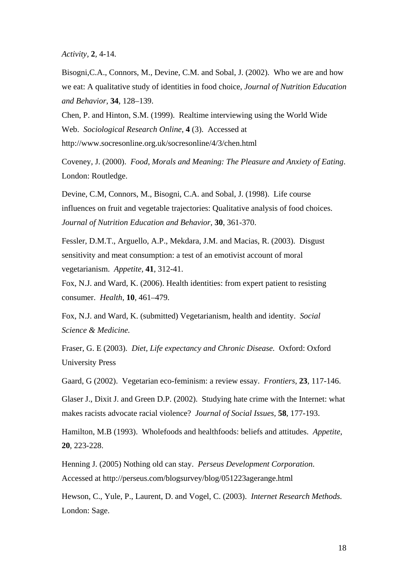*Activity,* **2***,* 4-14.

Bisogni,C.A., Connors, M., Devine, C.M. and Sobal, J. (2002). Who we are and how we eat: A qualitative study of identities in food choice, *Journal of Nutrition Education and Behavior*, **34**, 128–139.

Chen, P. and Hinton, S.M. (1999). Realtime interviewing using the World Wide Web. *Sociological Research Online*, **4** (3). Accessed at http://www.socresonline.org.uk/socresonline/4/3/chen.html

Coveney, J. (2000). *Food, Morals and Meaning: The Pleasure and Anxiety of Eating*. London: Routledge.

Devine, C.M, Connors, M., Bisogni, C.A. and Sobal, J. (1998). Life course influences on fruit and vegetable trajectories: Qualitative analysis of food choices. *Journal of Nutrition Education and Behavior*, **30**, 361-370.

Fessler, D.M.T., Arguello, A.P., Mekdara, J.M. and Macias, R. (2003). Disgust sensitivity and meat consumption: a test of an emotivist account of moral vegetarianism. *Appetite,* **41**, 312-41.

Fox, N.J. and Ward, K. (2006). Health identities: from expert patient to resisting consumer. *Health,* **10**, 461–479.

Fox, N.J. and Ward, K. (submitted) Vegetarianism, health and identity. *Social Science & Medicine.* 

Fraser, G. E (2003). *Diet, Life expectancy and Chronic Disease.* Oxford: Oxford University Press

Gaard, G (2002). Vegetarian eco-feminism: a review essay. *Frontiers*, **23**, 117-146.

Glaser J., Dixit J. and Green D.P. (2002). Studying hate crime with the Internet: what makes racists advocate racial violence? *Journal of Social Issues,* **58**, 177-193.

Hamilton, M.B (1993). Wholefoods and healthfoods: beliefs and attitudes. *Appetite*, **20**, 223-228.

Henning J. (2005) Nothing old can stay. *Perseus Development Corporation*. Accessed at http://perseus.com/blogsurvey/blog/051223agerange.html

Hewson, C., Yule, P., Laurent, D. and Vogel, C. (2003). *Internet Research Methods.* London: Sage.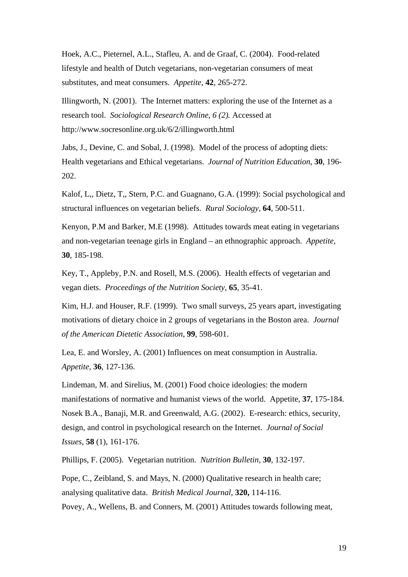Hoek, A.C., Pieternel, A.L., Stafleu, A. and de Graaf, C. (2004). Food-related lifestyle and health of Dutch vegetarians, non-vegetarian consumers of meat substitutes, and meat consumers. *Appetite*, **42***,* 265-272.

Illingworth, N. (2001). The Internet matters: exploring the use of the Internet as a research tool. *Sociological Research Online*, *6 (2).* Accessed at http://www.socresonline.org.uk/6/2/illingworth.html

Jabs, J., Devine, C. and Sobal, J. (1998). Model of the process of adopting diets: Health vegetarians and Ethical vegetarians. *Journal of Nutrition Education*, **30**, 196- 202.

Kalof, L,, Dietz, T,, Stern, P.C. and Guagnano, G.A. (1999): Social psychological and structural influences on vegetarian beliefs. *Rural Sociology*, **64**, 500-511.

Kenyon, P.M and Barker, M.E (1998). Attitudes towards meat eating in vegetarians and non-vegetarian teenage girls in England – an ethnographic approach. *Appetite*, **30**, 185-198.

Key, T., Appleby, P.N. and Rosell, M.S. (2006). Health effects of vegetarian and vegan diets. *Proceedings of the Nutrition Society*, **65***,* 35-41.

Kim, H.J. and Houser, R.F. (1999). Two small surveys, 25 years apart, investigating motivations of dietary choice in 2 groups of vegetarians in the Boston area. *Journal of the American Dietetic Association*, **99**, 598-601.

Lea, E. and Worsley, A. (2001) Influences on meat consumption in Australia. *Appetite,* **36**, 127-136.

Lindeman, M. and Sirelius, M. (2001) Food choice ideologies: the modern manifestations of normative and humanist views of the world. Appetite, **37**, 175-184. Nosek B.A., Banaji, M.R. and Greenwald, A.G. (2002). E-research: ethics, security, design, and control in psychological research on the Internet. *Journal of Social Issues*, **58** (1), 161-176.

Phillips, F. (2005). Vegetarian nutrition. *Nutrition Bulletin,* **30**, 132-197.

Pope, C., Zeibland, S. and Mays, N. (2000) Qualitative research in health care; analysing qualitative data. *British Medical Journal*, **320,** 114-116. Povey, A., Wellens, B. and Conners, M. (2001) Attitudes towards following meat,